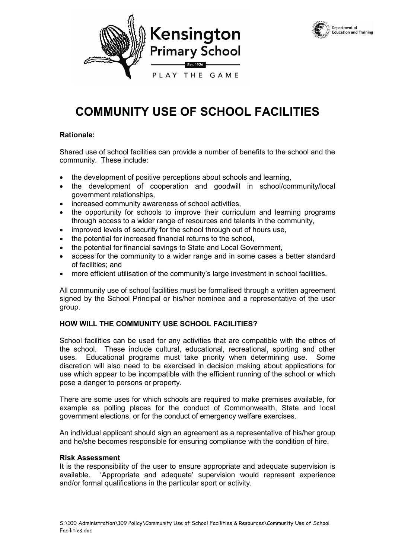



# **COMMUNITY USE OF SCHOOL FACILITIES**

### **Rationale:**

Shared use of school facilities can provide a number of benefits to the school and the community. These include:

- the development of positive perceptions about schools and learning,
- the development of cooperation and goodwill in school/community/local government relationships,
- increased community awareness of school activities,
- the opportunity for schools to improve their curriculum and learning programs through access to a wider range of resources and talents in the community,
- improved levels of security for the school through out of hours use,
- the potential for increased financial returns to the school,
- the potential for financial savings to State and Local Government,
- access for the community to a wider range and in some cases a better standard of facilities; and
- more efficient utilisation of the community's large investment in school facilities.

All community use of school facilities must be formalised through a written agreement signed by the School Principal or his/her nominee and a representative of the user group.

### **HOW WILL THE COMMUNITY USE SCHOOL FACILITIES?**

School facilities can be used for any activities that are compatible with the ethos of the school. These include cultural, educational, recreational, sporting and other uses. Educational programs must take priority when determining use. Some discretion will also need to be exercised in decision making about applications for use which appear to be incompatible with the efficient running of the school or which pose a danger to persons or property.

There are some uses for which schools are required to make premises available, for example as polling places for the conduct of Commonwealth, State and local government elections, or for the conduct of emergency welfare exercises.

An individual applicant should sign an agreement as a representative of his/her group and he/she becomes responsible for ensuring compliance with the condition of hire.

### **Risk Assessment**

It is the responsibility of the user to ensure appropriate and adequate supervision is available. 'Appropriate and adequate' supervision would represent experience and/or formal qualifications in the particular sport or activity.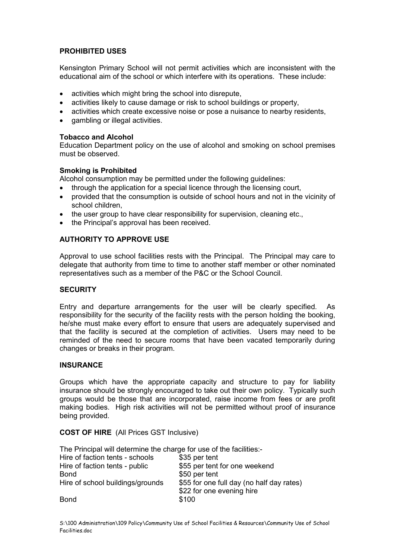### **PROHIBITED USES**

Kensington Primary School will not permit activities which are inconsistent with the educational aim of the school or which interfere with its operations. These include:

- activities which might bring the school into disrepute,
- activities likely to cause damage or risk to school buildings or property,
- activities which create excessive noise or pose a nuisance to nearby residents,
- gambling or illegal activities.

### **Tobacco and Alcohol**

Education Department policy on the use of alcohol and smoking on school premises must be observed.

### **Smoking is Prohibited**

Alcohol consumption may be permitted under the following quidelines:

- through the application for a special licence through the licensing court,
- provided that the consumption is outside of school hours and not in the vicinity of school children,
- the user group to have clear responsibility for supervision, cleaning etc.,
- the Principal's approval has been received.

### **AUTHORITY TO APPROVE USE**

Approval to use school facilities rests with the Principal. The Principal may care to delegate that authority from time to time to another staff member or other nominated representatives such as a member of the P&C or the School Council.

### **SECURITY**

Entry and departure arrangements for the user will be clearly specified. As responsibility for the security of the facility rests with the person holding the booking, he/she must make every effort to ensure that users are adequately supervised and that the facility is secured at the completion of activities. Users may need to be reminded of the need to secure rooms that have been vacated temporarily during changes or breaks in their program.

### **INSURANCE**

Groups which have the appropriate capacity and structure to pay for liability insurance should be strongly encouraged to take out their own policy. Typically such groups would be those that are incorporated, raise income from fees or are profit making bodies. High risk activities will not be permitted without proof of insurance being provided.

**COST OF HIRE** (All Prices GST Inclusive)

| The Principal will determine the charge for use of the facilities:- |                                           |
|---------------------------------------------------------------------|-------------------------------------------|
| Hire of faction tents - schools                                     | \$35 per tent                             |
| Hire of faction tents - public                                      | \$55 per tent for one weekend             |
| <b>Bond</b>                                                         | \$50 per tent                             |
| Hire of school buildings/grounds                                    | \$55 for one full day (no half day rates) |
|                                                                     | \$22 for one evening hire                 |
| <b>Bond</b>                                                         | \$100                                     |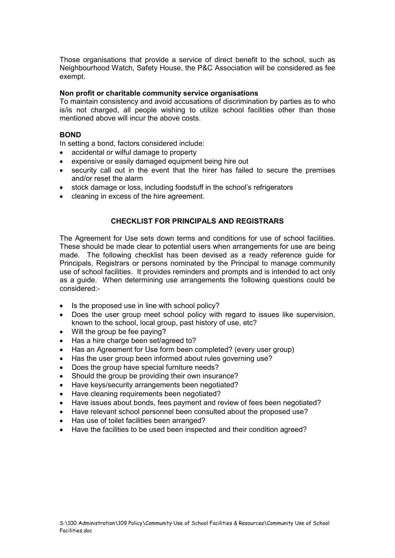Those organisations that provide a service of direct benefit to the school, such as Neighbourhood Watch, Safety House, the P&C Association will be considered as fee exempt.

### **Non profit or charitable community service organisations**

To maintain consistency and avoid accusations of discrimination by parties as to who is/is not charged, all people wishing to utilize school facilities other than those mentioned above will incur the above costs.

### **BOND**

In setting a bond, factors considered include:

- accidental or wilful damage to property
- expensive or easily damaged equipment being hire out
- security call out in the event that the hirer has failed to secure the premises and/or reset the alarm
- stock damage or loss, including foodstuff in the school's refrigerators
- cleaning in excess of the hire agreement.

### **CHECKLIST FOR PRINCIPALS AND REGISTRARS**

The Agreement for Use sets down terms and conditions for use of school facilities. These should be made clear to potential users when arrangements for use are being made. The following checklist has been devised as a ready reference guide for Principals, Registrars or persons nominated by the Principal to manage community use of school facilities. It provides reminders and prompts and is intended to act only as a guide. When determining use arrangements the following questions could be considered:-

- Is the proposed use in line with school policy?
- Does the user group meet school policy with regard to issues like supervision, known to the school, local group, past history of use, etc?
- Will the group be fee paying?
- Has a hire charge been set/agreed to?
- Has an Agreement for Use form been completed? (every user group)
- Has the user group been informed about rules governing use?
- Does the group have special furniture needs?
- Should the group be providing their own insurance?
- Have keys/security arrangements been negotiated?
- Have cleaning requirements been negotiated?
- Have issues about bonds, fees payment and review of fees been negotiated?
- Have relevant school personnel been consulted about the proposed use?
- Has use of toilet facilities been arranged?
- Have the facilities to be used been inspected and their condition agreed?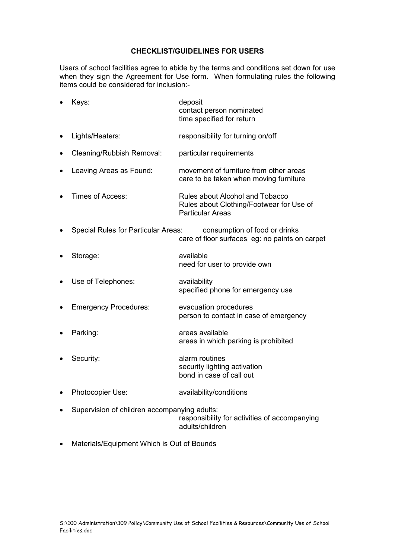### **CHECKLIST/GUIDELINES FOR USERS**

Users of school facilities agree to abide by the terms and conditions set down for use when they sign the Agreement for Use form. When formulating rules the following items could be considered for inclusion:-

|           | Keys:                                        | deposit<br>contact person nominated<br>time specified for return                                       |
|-----------|----------------------------------------------|--------------------------------------------------------------------------------------------------------|
| ٠         | Lights/Heaters:                              | responsibility for turning on/off                                                                      |
| $\bullet$ | Cleaning/Rubbish Removal:                    | particular requirements                                                                                |
| $\bullet$ | Leaving Areas as Found:                      | movement of furniture from other areas<br>care to be taken when moving furniture                       |
|           | Times of Access:                             | Rules about Alcohol and Tobacco<br>Rules about Clothing/Footwear for Use of<br><b>Particular Areas</b> |
|           | <b>Special Rules for Particular Areas:</b>   | consumption of food or drinks<br>care of floor surfaces eg: no paints on carpet                        |
| $\bullet$ | Storage:                                     | available<br>need for user to provide own                                                              |
| $\bullet$ | Use of Telephones:                           | availability<br>specified phone for emergency use                                                      |
|           | <b>Emergency Procedures:</b>                 | evacuation procedures<br>person to contact in case of emergency                                        |
|           | Parking:                                     | areas available<br>areas in which parking is prohibited                                                |
|           | Security:                                    | alarm routines<br>security lighting activation<br>bond in case of call out                             |
| $\bullet$ | Photocopier Use:                             | availability/conditions                                                                                |
|           | Supervision of children accompanying adults: | responsibility for activities of accompanying                                                          |

adults/children

• Materials/Equipment Which is Out of Bounds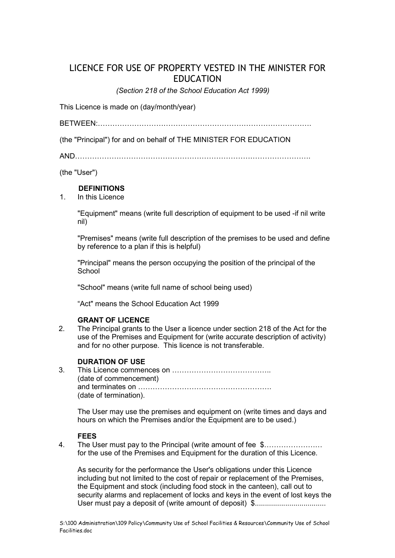# LICENCE FOR USE OF PROPERTY VESTED IN THE MINISTER FOR EDUCATION

*(Section 218 of the School Education Act 1999)* 

This Licence is made on (day/month/year)

BETWEEN:…………………………………………………………………………….

(the "Principal") for and on behalf of THE MINISTER FOR EDUCATION

AND…………………………………………………………………………………….

(the "User")

### **DEFINITIONS**

1. In this Licence

"Equipment" means (write full description of equipment to be used -if nil write nil)

"Premises" means (write full description of the premises to be used and define by reference to a plan if this is helpful)

"Principal" means the person occupying the position of the principal of the **School** 

"School" means (write full name of school being used)

"Act" means the School Education Act 1999

### **GRANT OF LICENCE**

2. The Principal grants to the User a licence under section 218 of the Act for the use of the Premises and Equipment for (write accurate description of activity) and for no other purpose. This licence is not transferable.

### **DURATION OF USE**

3. This Licence commences on ………………………………….. (date of commencement) and terminates on ………………………………………………. (date of termination).

The User may use the premises and equipment on (write times and days and hours on which the Premises and/or the Equipment are to be used.)

### **FEES**

4. The User must pay to the Principal (write amount of fee \$…………………… for the use of the Premises and Equipment for the duration of this Licence.

As security for the performance the User's obligations under this Licence including but not limited to the cost of repair or replacement of the Premises, the Equipment and stock (including food stock in the canteen), call out to security alarms and replacement of locks and keys in the event of lost keys the User must pay a deposit of (write amount of deposit) \$...................................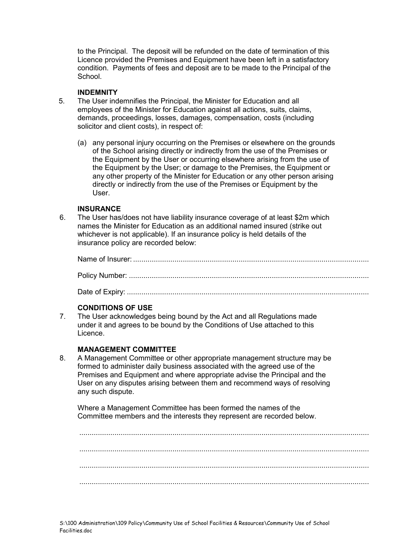to the Principal. The deposit will be refunded on the date of termination of this Licence provided the Premises and Equipment have been left in a satisfactory condition. Payments of fees and deposit are to be made to the Principal of the School.

### **INDEMNITY**

- 5. The User indemnifies the Principal, the Minister for Education and all employees of the Minister for Education against all actions, suits, claims, demands, proceedings, losses, damages, compensation, costs (including solicitor and client costs), in respect of:
	- (a) any personal injury occurring on the Premises or elsewhere on the grounds of the School arising directly or indirectly from the use of the Premises or the Equipment by the User or occurring elsewhere arising from the use of the Equipment by the User; or damage to the Premises, the Equipment or any other property of the Minister for Education or any other person arising directly or indirectly from the use of the Premises or Equipment by the User.

### **INSURANCE**

6. The User has/does not have liability insurance coverage of at least \$2m which names the Minister for Education as an additional named insured (strike out whichever is not applicable). If an insurance policy is held details of the insurance policy are recorded below:

Date of Expiry: .....................................................................................................................

## **CONDITIONS OF USE**

7. The User acknowledges being bound by the Act and all Regulations made under it and agrees to be bound by the Conditions of Use attached to this Licence.

## **MANAGEMENT COMMITTEE**

8. A Management Committee or other appropriate management structure may be formed to administer daily business associated with the agreed use of the Premises and Equipment and where appropriate advise the Principal and the User on any disputes arising between them and recommend ways of resolving any such dispute.

 Where a Management Committee has been formed the names of the Committee members and the interests they represent are recorded below.

............................................................................................................................................ ............................................................................................................................................ ............................................................................................................................................ ............................................................................................................................................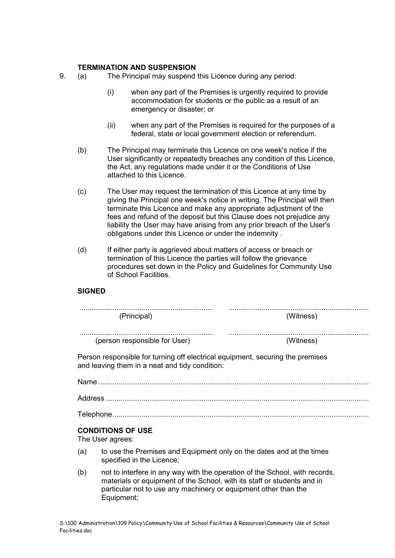### **TERMINATION AND SUSPENSION**

- 9. (a) The Principal may suspend this Licence during any period:
	- (i) when any part of the Premises is urgently required to provide accommodation for students or the public as a result of an emergency or disaster; or
	- (ii) when any part of the Premises is required for the purposes of a federal, state or local government election or referendum.
	- (b) The Principal may terminate this Licence on one week's notice if the User significantly or repeatedly breaches any condition of this Licence, the Act, any regulations made under it or the Conditions of Use attached to this Licence.
	- (c) The User may request the termination of this Licence at any time by giving the Principal one week's notice in writing. The Principal will then terminate this Licence and make any appropriate adjustment of the fees and refund of the deposit but this Clause does not prejudice any liability the User may have arising from any prior breach of the User's obligations under this Licence or under the indemnity .
	- (d) If either party is aggrieved about matters of access or breach or termination of this Licence the parties will follow the grievance procedures set down in the Policy and Guidelines for Community Use of School Facilities.

### **SIGNED**

| (Principal)                                                                                                                      | (Witness) |
|----------------------------------------------------------------------------------------------------------------------------------|-----------|
| (person responsible for User)                                                                                                    | (Witness) |
| Person responsible for turning off electrical equipment, securing the premises<br>and leaving them in a neat and tidy condition: |           |

Name................................................................................................................................... Address ...............................................................................................................................

Telephone............................................................................................................................

### **CONDITIONS OF USE**

The User agrees:

- (a) to use the Premises and Equipment only on the dates and at the times specified in the Licence;
- (b) not to interfere in any way with the operation of the School, with records, materials or equipment of the School, with its staff or students and in particular not to use any machinery or equipment other than the Equipment;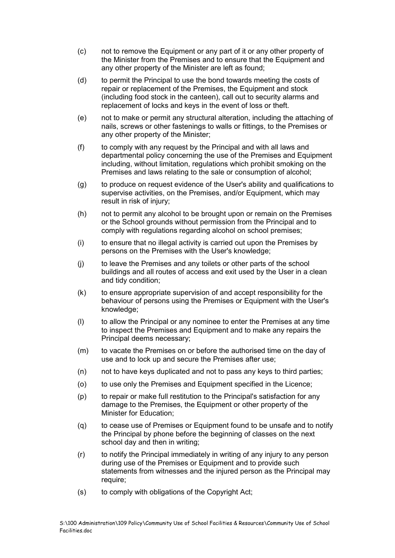- (c) not to remove the Equipment or any part of it or any other property of the Minister from the Premises and to ensure that the Equipment and any other property of the Minister are left as found;
- (d) to permit the Principal to use the bond towards meeting the costs of repair or replacement of the Premises, the Equipment and stock (including food stock in the canteen), call out to security alarms and replacement of locks and keys in the event of loss or theft.
- (e) not to make or permit any structural alteration, including the attaching of nails, screws or other fastenings to walls or fittings, to the Premises or any other property of the Minister;
- (f) to comply with any request by the Principal and with all laws and departmental policy concerning the use of the Premises and Equipment including, without limitation, regulations which prohibit smoking on the Premises and laws relating to the sale or consumption of alcohol;
- (g) to produce on request evidence of the User's ability and qualifications to supervise activities, on the Premises, and/or Equipment, which may result in risk of injury;
- (h) not to permit any alcohol to be brought upon or remain on the Premises or the School grounds without permission from the Principal and to comply with regulations regarding alcohol on school premises;
- (i) to ensure that no illegal activity is carried out upon the Premises by persons on the Premises with the User's knowledge;
- (j) to leave the Premises and any toilets or other parts of the school buildings and all routes of access and exit used by the User in a clean and tidy condition;
- (k) to ensure appropriate supervision of and accept responsibility for the behaviour of persons using the Premises or Equipment with the User's knowledge;
- (l) to allow the Principal or any nominee to enter the Premises at any time to inspect the Premises and Equipment and to make any repairs the Principal deems necessary;
- (m) to vacate the Premises on or before the authorised time on the day of use and to lock up and secure the Premises after use;
- (n) not to have keys duplicated and not to pass any keys to third parties;
- (o) to use only the Premises and Equipment specified in the Licence;
- (p) to repair or make full restitution to the Principal's satisfaction for any damage to the Premises, the Equipment or other property of the Minister for Education;
- (q) to cease use of Premises or Equipment found to be unsafe and to notify the Principal by phone before the beginning of classes on the next school day and then in writing;
- (r) to notify the Principal immediately in writing of any injury to any person during use of the Premises or Equipment and to provide such statements from witnesses and the injured person as the Principal may require;
- (s) to comply with obligations of the Copyright Act;